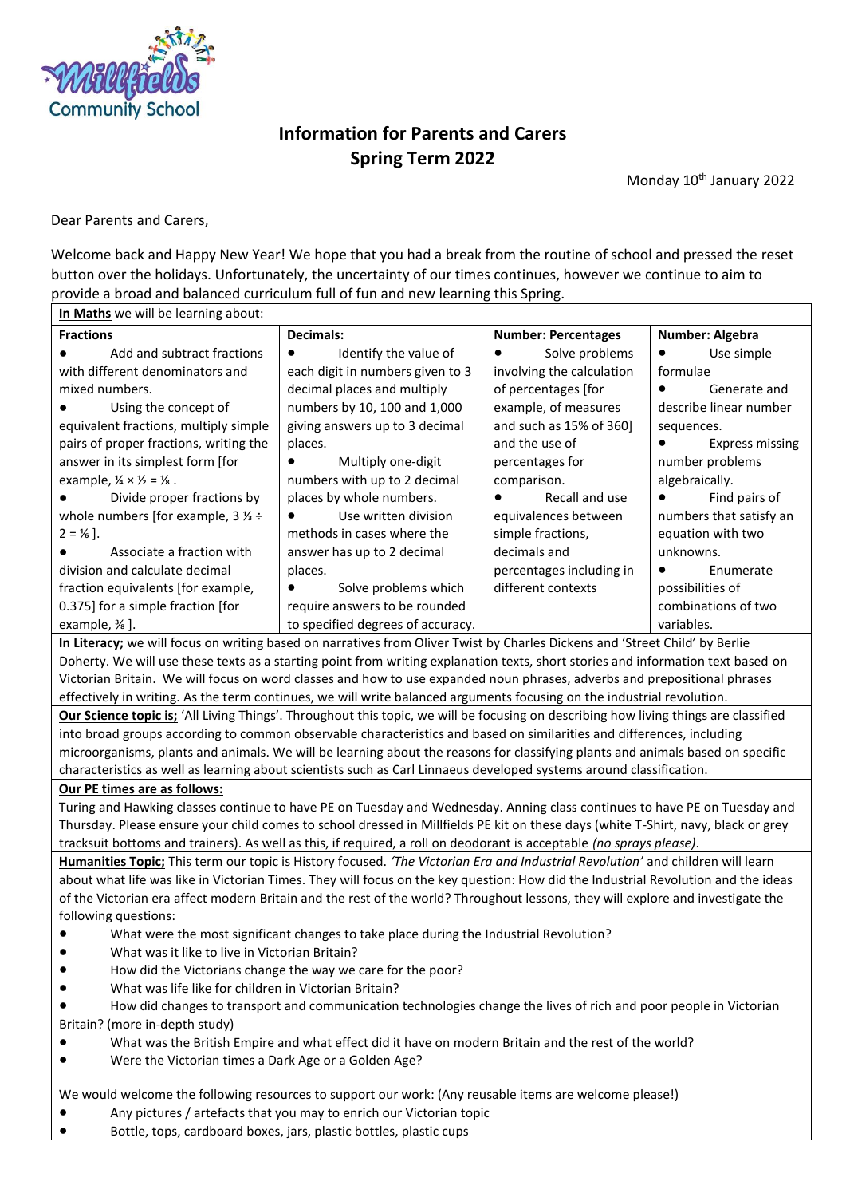

# **Information for Parents and Carers Spring Term 2022**

Monday 10<sup>th</sup> January 2022

Dear Parents and Carers,

Welcome back and Happy New Year! We hope that you had a break from the routine of school and pressed the reset button over the holidays. Unfortunately, the uncertainty of our times continues, however we continue to aim to provide a broad and balanced curriculum full of fun and new learning this Spring.

| In Maths we will be learning about:                       |                                    |                             |                            |
|-----------------------------------------------------------|------------------------------------|-----------------------------|----------------------------|
| <b>Fractions</b>                                          | Decimals:                          | <b>Number: Percentages</b>  | Number: Algebra            |
| Add and subtract fractions                                | Identify the value of<br>$\bullet$ | Solve problems<br>$\bullet$ | Use simple                 |
| with different denominators and                           | each digit in numbers given to 3   | involving the calculation   | formulae                   |
| mixed numbers.                                            | decimal places and multiply        | of percentages [for         | Generate and               |
| Using the concept of                                      | numbers by 10, 100 and 1,000       | example, of measures        | describe linear number     |
| equivalent fractions, multiply simple                     | giving answers up to 3 decimal     | and such as 15% of 360]     | sequences.                 |
| pairs of proper fractions, writing the                    | places.                            | and the use of              | <b>Express missing</b>     |
| answer in its simplest form [for                          | Multiply one-digit                 | percentages for             | number problems            |
| example, $\frac{1}{4} \times \frac{1}{2} = \frac{1}{8}$ . | numbers with up to 2 decimal       | comparison.                 | algebraically.             |
| Divide proper fractions by                                | places by whole numbers.           | Recall and use<br>$\bullet$ | Find pairs of<br>$\bullet$ |
| whole numbers [for example, $3\frac{1}{3}$ ÷              | Use written division               | equivalences between        | numbers that satisfy an    |
| $2 = 1/6$ .                                               | methods in cases where the         | simple fractions,           | equation with two          |
| Associate a fraction with                                 | answer has up to 2 decimal         | decimals and                | unknowns.                  |
| division and calculate decimal                            | places.                            | percentages including in    | Enumerate                  |
| fraction equivalents [for example,                        | Solve problems which<br>$\bullet$  | different contexts          | possibilities of           |
| 0.375] for a simple fraction [for                         | require answers to be rounded      |                             | combinations of two        |
| example, $\frac{3}{8}$ .                                  | to specified degrees of accuracy.  |                             | variables.                 |

**In Literacy;** we will focus on writing based on narratives from Oliver Twist by Charles Dickens and 'Street Child' by Berlie Doherty. We will use these texts as a starting point from writing explanation texts, short stories and information text based on Victorian Britain. We will focus on word classes and how to use expanded noun phrases, adverbs and prepositional phrases effectively in writing. As the term continues, we will write balanced arguments focusing on the industrial revolution.

**Our Science topic is;** 'All Living Things'. Throughout this topic, we will be focusing on describing how living things are classified into broad groups according to common observable characteristics and based on similarities and differences, including microorganisms, plants and animals. We will be learning about the reasons for classifying plants and animals based on specific characteristics as well as learning about scientists such as Carl Linnaeus developed systems around classification.

**Our PE times are as follows:**

Turing and Hawking classes continue to have PE on Tuesday and Wednesday. Anning class continues to have PE on Tuesday and Thursday. Please ensure your child comes to school dressed in Millfields PE kit on these days (white T-Shirt, navy, black or grey tracksuit bottoms and trainers). As well as this, if required, a roll on deodorant is acceptable *(no sprays please)*.

**Humanities Topic;** This term our topic is History focused. *'The Victorian Era and Industrial Revolution'* and children will learn about what life was like in Victorian Times. They will focus on the key question: How did the Industrial Revolution and the ideas of the Victorian era affect modern Britain and the rest of the world? Throughout lessons, they will explore and investigate the following questions:

- What were the most significant changes to take place during the Industrial Revolution?
- What was it like to live in Victorian Britain?
- How did the Victorians change the way we care for the poor?
- What was life like for children in Victorian Britain?

How did changes to transport and communication technologies change the lives of rich and poor people in Victorian Britain? (more in-depth study)

- What was the British Empire and what effect did it have on modern Britain and the rest of the world?
- Were the Victorian times a Dark Age or a Golden Age?

We would welcome the following resources to support our work: (Any reusable items are welcome please!)

- Any pictures / artefacts that you may to enrich our Victorian topic
- Bottle, tops, cardboard boxes, jars, plastic bottles, plastic cups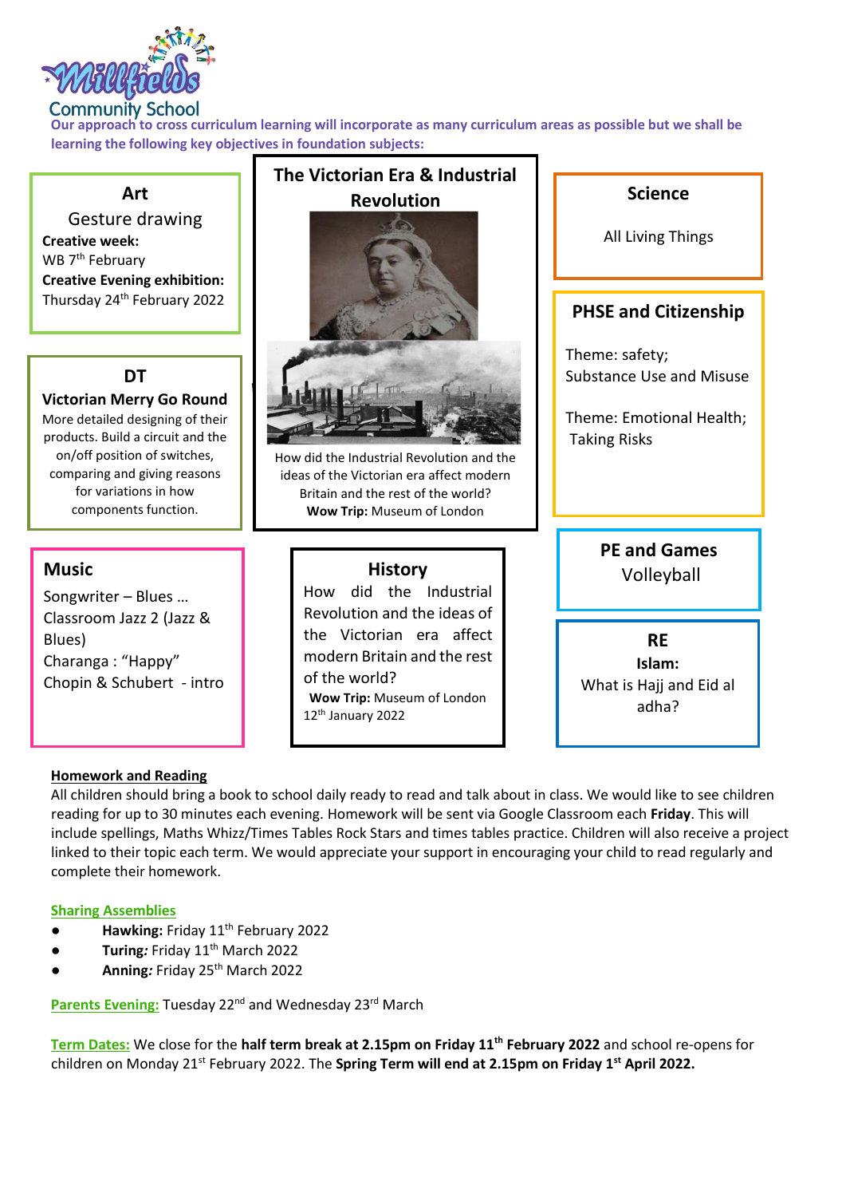

## **Community School**

**Our approach to cross curriculum learning will incorporate as many curriculum areas as possible but we shall be learning the following key objectives in foundation subjects:**



#### **Homework and Reading**

All children should bring a book to school daily ready to read and talk about in class. We would like to see children reading for up to 30 minutes each evening. Homework will be sent via Google Classroom each **Friday**. This will include spellings, Maths Whizz/Times Tables Rock Stars and times tables practice. Children will also receive a project linked to their topic each term. We would appreciate your support in encouraging your child to read regularly and complete their homework.

#### **Sharing Assemblies**

- Hawking: Friday 11<sup>th</sup> February 2022
- **Turing: Friday 11<sup>th</sup> March 2022**
- **Anning***:* Friday 25th March 2022

**Parents Evening: Tuesday 22<sup>nd</sup> and Wednesday 23<sup>rd</sup> March** 

**Term Dates:** We close for the **half term break at 2.15pm on Friday 11th February 2022** and school re-opens for children on Monday 21st February 2022. The **Spring Term will end at 2.15pm on Friday 1st April 2022.**